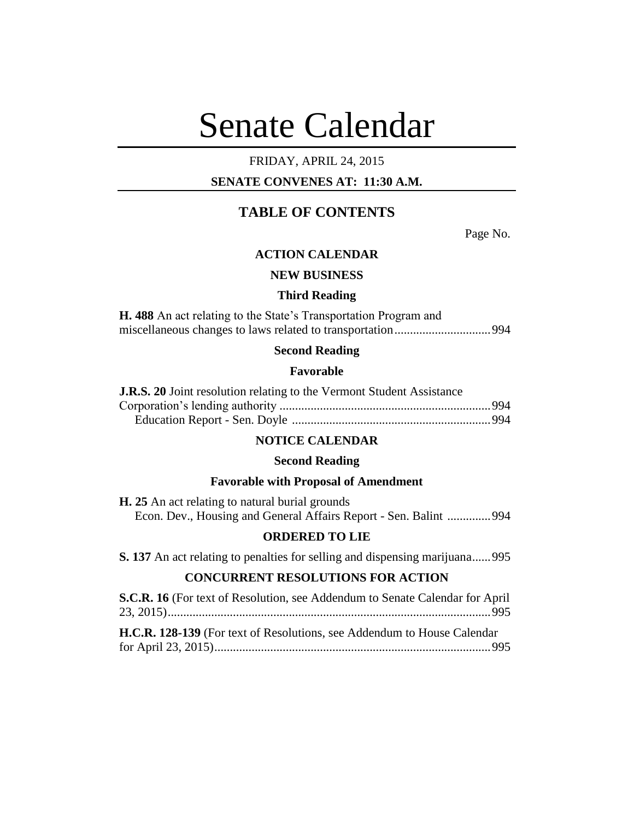# Senate Calendar

# FRIDAY, APRIL 24, 2015

# **SENATE CONVENES AT: 11:30 A.M.**

# **TABLE OF CONTENTS**

Page No.

## **ACTION CALENDAR**

## **NEW BUSINESS**

#### **Third Reading**

**H. 488** An act relating to the State's Transportation Program and miscellaneous changes to laws related to transportation...............................994

# **Second Reading**

## **Favorable**

| <b>J.R.S. 20</b> Joint resolution relating to the Vermont Student Assistance |  |
|------------------------------------------------------------------------------|--|
|                                                                              |  |
|                                                                              |  |

# **NOTICE CALENDAR**

#### **Second Reading**

## **Favorable with Proposal of Amendment**

**H. 25** An act relating to natural burial grounds Econ. Dev., Housing and General Affairs Report - Sen. Balint ..............994

## **ORDERED TO LIE**

**S. 137** An act relating to penalties for selling and dispensing marijuana......995

## **CONCURRENT RESOLUTIONS FOR ACTION**

| <b>S.C.R. 16</b> (For text of Resolution, see Addendum to Senate Calendar for April |  |
|-------------------------------------------------------------------------------------|--|
|                                                                                     |  |
|                                                                                     |  |
| <b>H.C.R. 128-139</b> (For text of Resolutions, see Addendum to House Calendar      |  |
|                                                                                     |  |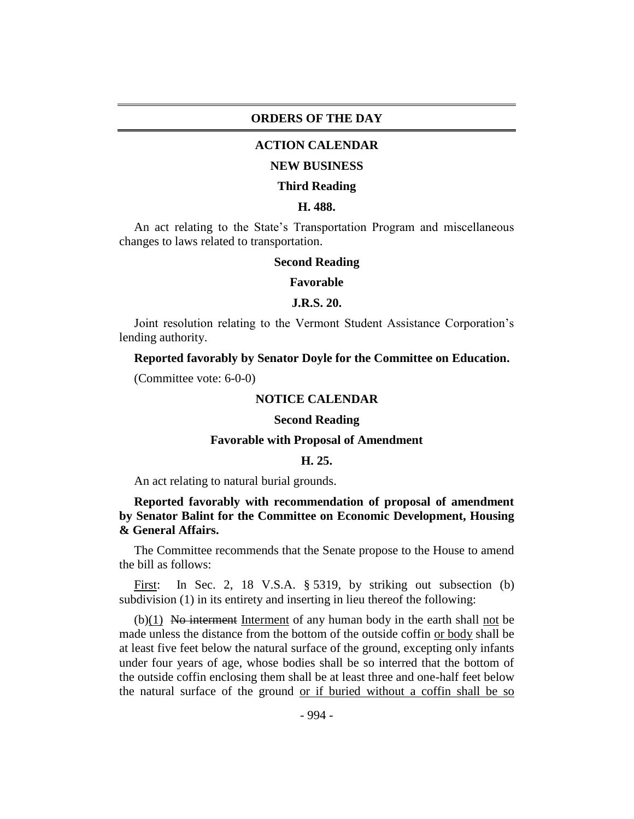## **ORDERS OF THE DAY**

## **ACTION CALENDAR**

#### **NEW BUSINESS**

#### **Third Reading**

### **H. 488.**

An act relating to the State's Transportation Program and miscellaneous changes to laws related to transportation.

## **Second Reading**

#### **Favorable**

## **J.R.S. 20.**

Joint resolution relating to the Vermont Student Assistance Corporation's lending authority.

## **Reported favorably by Senator Doyle for the Committee on Education.**

(Committee vote: 6-0-0)

## **NOTICE CALENDAR**

#### **Second Reading**

## **Favorable with Proposal of Amendment**

## **H. 25.**

An act relating to natural burial grounds.

## **Reported favorably with recommendation of proposal of amendment by Senator Balint for the Committee on Economic Development, Housing & General Affairs.**

The Committee recommends that the Senate propose to the House to amend the bill as follows:

First: In Sec. 2, 18 V.S.A. § 5319, by striking out subsection (b) subdivision (1) in its entirety and inserting in lieu thereof the following:

 $(b)(1)$  No interment Interment of any human body in the earth shall not be made unless the distance from the bottom of the outside coffin or body shall be at least five feet below the natural surface of the ground, excepting only infants under four years of age, whose bodies shall be so interred that the bottom of the outside coffin enclosing them shall be at least three and one-half feet below the natural surface of the ground or if buried without a coffin shall be so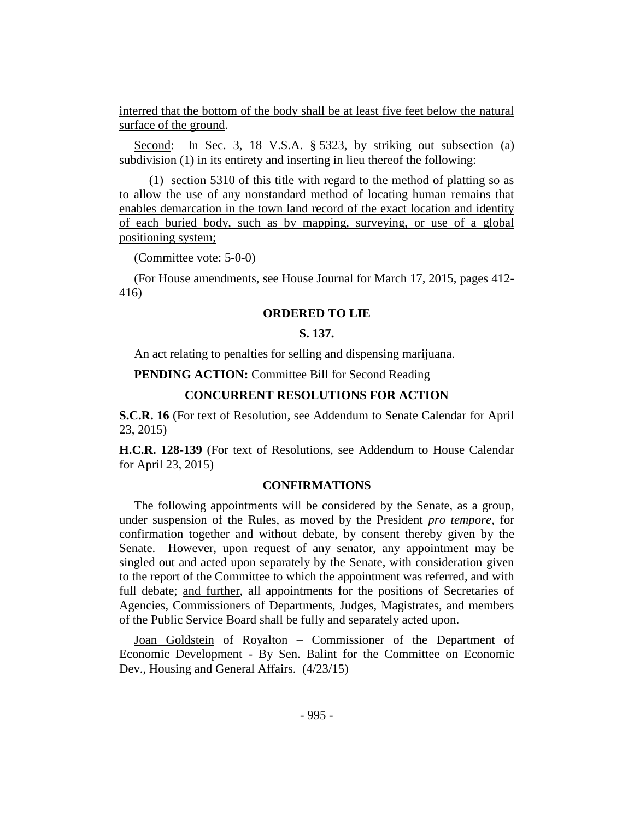interred that the bottom of the body shall be at least five feet below the natural surface of the ground.

Second: In Sec. 3, 18 V.S.A. § 5323, by striking out subsection (a) subdivision (1) in its entirety and inserting in lieu thereof the following:

(1) section 5310 of this title with regard to the method of platting so as to allow the use of any nonstandard method of locating human remains that enables demarcation in the town land record of the exact location and identity of each buried body, such as by mapping, surveying, or use of a global positioning system;

(Committee vote: 5-0-0)

(For House amendments, see House Journal for March 17, 2015, pages 412- 416)

## **ORDERED TO LIE**

## **S. 137.**

An act relating to penalties for selling and dispensing marijuana.

**PENDING ACTION:** Committee Bill for Second Reading

## **CONCURRENT RESOLUTIONS FOR ACTION**

**S.C.R. 16** (For text of Resolution, see Addendum to Senate Calendar for April 23, 2015)

**H.C.R. 128-139** (For text of Resolutions, see Addendum to House Calendar for April 23, 2015)

## **CONFIRMATIONS**

The following appointments will be considered by the Senate, as a group, under suspension of the Rules, as moved by the President *pro tempore,* for confirmation together and without debate, by consent thereby given by the Senate. However, upon request of any senator, any appointment may be singled out and acted upon separately by the Senate, with consideration given to the report of the Committee to which the appointment was referred, and with full debate; and further, all appointments for the positions of Secretaries of Agencies, Commissioners of Departments, Judges, Magistrates, and members of the Public Service Board shall be fully and separately acted upon.

Joan Goldstein of Royalton – Commissioner of the Department of Economic Development - By Sen. Balint for the Committee on Economic Dev., Housing and General Affairs.  $(4/23/15)$